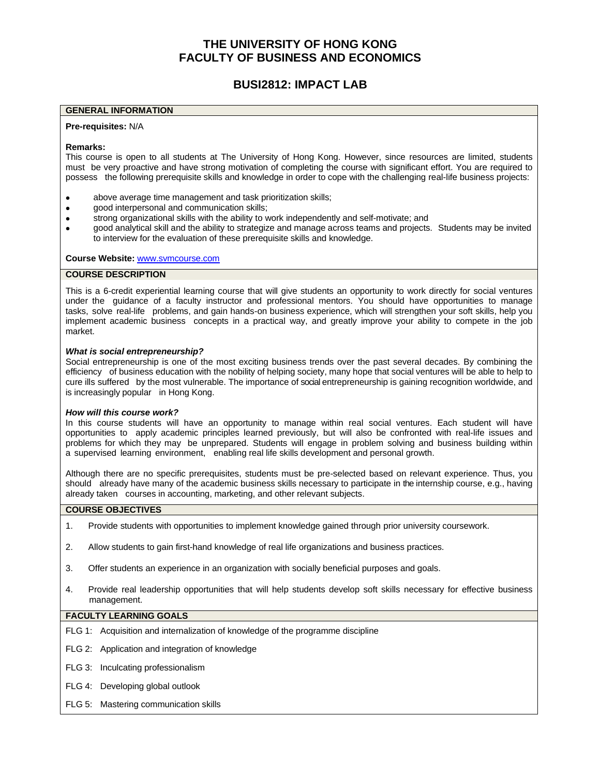# **THE UNIVERSITY OF HONG KONG FACULTY OF BUSINESS AND ECONOMICS**

# **BUSI2812: IMPACT LAB**

#### **GENERAL INFORMATION**

#### **Pre-requisites:** N/A

#### **Remarks:**

This course is open to all students at The University of Hong Kong. However, since resources are limited, students must be very proactive and have strong motivation of completing the course with significant effort. You are required to possess the following prerequisite skills and knowledge in order to cope with the challenging real-life business projects:

- ⚫ above average time management and task prioritization skills;
- ⚫ good interpersonal and communication skills;
- strong organizational skills with the ability to work independently and self-motivate; and
- ⚫ good analytical skill and the ability to strategize and manage across teams and projects. Students may be invited to interview for the evaluation of these prerequisite skills and knowledge.

**Course Website:** [www.svmcourse.com](http://www.svmcourse.com/)

#### **COURSE DESCRIPTION**

This is a 6-credit experiential learning course that will give students an opportunity to work directly for social ventures under the guidance of a faculty instructor and professional mentors. You should have opportunities to manage tasks, solve real-life problems, and gain hands-on business experience, which will strengthen your soft skills, help you implement academic business concepts in a practical way, and greatly improve your ability to compete in the job market.

#### *What is social entrepreneurship?*

Social entrepreneurship is one of the most exciting business trends over the past several decades. By combining the efficiency of business education with the nobility of helping society, many hope that social ventures will be able to help to cure ills suffered by the most vulnerable. The importance of social entrepreneurship is gaining recognition worldwide, and is increasingly popular in Hong Kong.

#### *How will this course work?*

In this course students will have an opportunity to manage within real social ventures. Each student will have opportunities to apply academic principles learned previously, but will also be confronted with real-life issues and problems for which they may be unprepared. Students will engage in problem solving and business building within a supervised learning environment, enabling real life skills development and personal growth.

Although there are no specific prerequisites, students must be pre-selected based on relevant experience. Thus, you should already have many of the academic business skills necessary to participate in the internship course, e.g., having already taken courses in accounting, marketing, and other relevant subjects.

#### **COURSE OBJECTIVES**

- 1. Provide students with opportunities to implement knowledge gained through prior university coursework.
- 2. Allow students to gain first-hand knowledge of real life organizations and business practices.
- 3. Offer students an experience in an organization with socially beneficial purposes and goals.
- 4. Provide real leadership opportunities that will help students develop soft skills necessary for effective business management.

#### **FACULTY LEARNING GOALS**

- FLG 1: Acquisition and internalization of knowledge of the programme discipline
- FLG 2: Application and integration of knowledge
- FLG 3: Inculcating professionalism
- FLG 4: Developing global outlook
- FLG 5: Mastering communication skills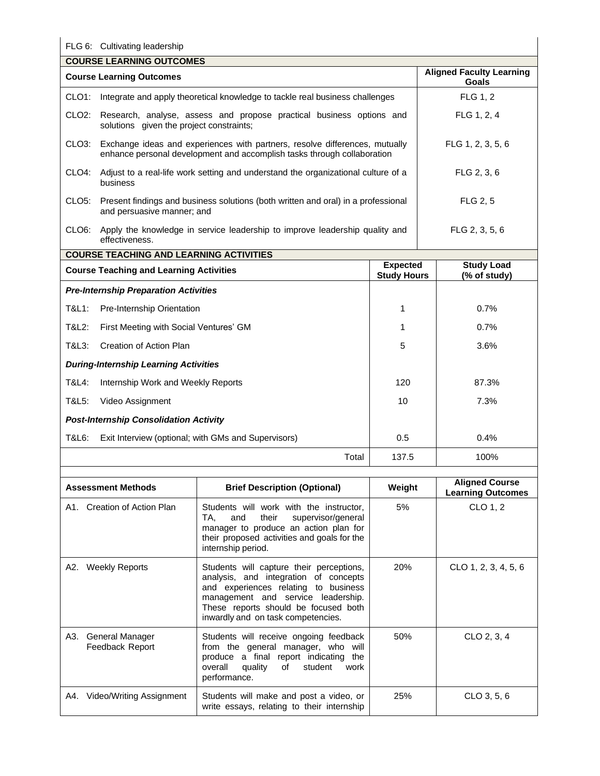# FLG 6: Cultivating leadership

ŀ

| <b>COURSE LEARNING OUTCOMES</b> |                                                                                                                                                              |                                          |
|---------------------------------|--------------------------------------------------------------------------------------------------------------------------------------------------------------|------------------------------------------|
|                                 | <b>Course Learning Outcomes</b>                                                                                                                              | <b>Aligned Faculty Learning</b><br>Goals |
| CLO1:                           | Integrate and apply theoretical knowledge to tackle real business challenges                                                                                 | <b>FLG 1.2</b>                           |
|                                 | CLO2: Research, analyse, assess and propose practical business options and<br>solutions given the project constraints;                                       | FLG 1, 2, 4                              |
|                                 | CLO3: Exchange ideas and experiences with partners, resolve differences, mutually<br>enhance personal development and accomplish tasks through collaboration | FLG 1, 2, 3, 5, 6                        |
| CLO4:                           | Adjust to a real-life work setting and understand the organizational culture of a<br>business                                                                | FLG 2, 3, 6                              |
| CLO5:                           | Present findings and business solutions (both written and oral) in a professional<br>and persuasive manner; and                                              | <b>FLG 2, 5</b>                          |
| CLO <sub>6</sub> :              | Apply the knowledge in service leadership to improve leadership quality and<br>effectiveness.                                                                | FLG 2, 3, 5, 6                           |

| <b>COURSE TEACHING AND LEARNING ACTIVITIES</b> |                                                     |                                       |                                   |
|------------------------------------------------|-----------------------------------------------------|---------------------------------------|-----------------------------------|
| <b>Course Teaching and Learning Activities</b> |                                                     | <b>Expected</b><br><b>Study Hours</b> | <b>Study Load</b><br>(% of study) |
|                                                | <b>Pre-Internship Preparation Activities</b>        |                                       |                                   |
| T&L1:                                          | <b>Pre-Internship Orientation</b>                   | 1                                     | 0.7%                              |
| T&L2:                                          | First Meeting with Social Ventures' GM              |                                       | 0.7%                              |
| T&L3:                                          | Creation of Action Plan                             | 5                                     | $3.6\%$                           |
| <b>During-Internship Learning Activities</b>   |                                                     |                                       |                                   |
| T&L4:                                          | Internship Work and Weekly Reports                  | 120                                   | 87.3%                             |
| T&L5:                                          | Video Assignment                                    | 10                                    | 7.3%                              |
|                                                | <b>Post-Internship Consolidation Activity</b>       |                                       |                                   |
| T&L6:                                          | Exit Interview (optional; with GMs and Supervisors) | 0.5                                   | 0.4%                              |
|                                                | Total                                               | 137.5                                 | 100%                              |

| <b>Assessment Methods</b>                 | <b>Brief Description (Optional)</b>                                                                                                                                                                                                           | Weight | <b>Aligned Course</b><br><b>Learning Outcomes</b> |
|-------------------------------------------|-----------------------------------------------------------------------------------------------------------------------------------------------------------------------------------------------------------------------------------------------|--------|---------------------------------------------------|
| A1. Creation of Action Plan               | Students will work with the instructor,<br>their<br>supervisor/general<br>TA.<br>and<br>manager to produce an action plan for<br>their proposed activities and goals for the<br>internship period.                                            | 5%     | CLO 1, 2                                          |
| A2. Weekly Reports                        | Students will capture their perceptions,<br>analysis, and integration of concepts<br>and experiences relating to business<br>management and service leadership.<br>These reports should be focused both<br>inwardly and on task competencies. | 20%    | $CLO$ 1, 2, 3, 4, 5, 6                            |
| A3.<br>General Manager<br>Feedback Report | Students will receive ongoing feedback<br>from the general manager, who will<br>produce a final report indicating the<br>overall quality of<br>student<br>work<br>performance.                                                                | 50%    | CLO 2, 3, 4                                       |
| A4. Video/Writing Assignment              | Students will make and post a video, or<br>write essays, relating to their internship                                                                                                                                                         | 25%    | CLO 3, 5, 6                                       |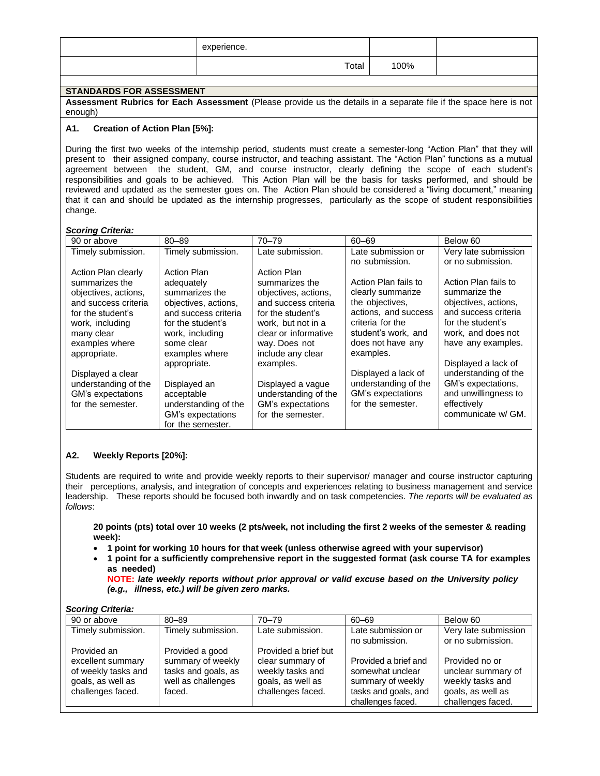| experience. |      |  |
|-------------|------|--|
| Total       | 100% |  |
|             |      |  |

# **STANDARDS FOR ASSESSMENT**

**Assessment Rubrics for Each Assessment** (Please provide us the details in a separate file if the space here is not enough)

### **A1. Creation of Action Plan [5%]:**

During the first two weeks of the internship period, students must create a semester-long "Action Plan" that they will present to their assigned company, course instructor, and teaching assistant. The "Action Plan" functions as a mutual agreement between the student, GM, and course instructor, clearly defining the scope of each student's responsibilities and goals to be achieved. This Action Plan will be the basis for tasks performed, and should be reviewed and updated as the semester goes on. The Action Plan should be considered a "living document," meaning that it can and should be updated as the internship progresses, particularly as the scope of student responsibilities change.

#### *Scoring Criteria:*

| 90 or above          | $80 - 89$            | $70 - 79$            | $60 - 69$            | Below 60             |
|----------------------|----------------------|----------------------|----------------------|----------------------|
| Timely submission.   | Timely submission.   | Late submission.     | Late submission or   | Very late submission |
|                      |                      |                      | no submission.       | or no submission.    |
| Action Plan clearly  | <b>Action Plan</b>   | Action Plan          |                      |                      |
| summarizes the       | adequately           | summarizes the       | Action Plan fails to | Action Plan fails to |
| objectives, actions, | summarizes the       | objectives, actions, | clearly summarize    | summarize the        |
| and success criteria | objectives, actions, | and success criteria | the objectives.      | objectives, actions, |
| for the student's    | and success criteria | for the student's    | actions, and success | and success criteria |
| work, including      | for the student's    | work, but not in a   | criteria for the     | for the student's    |
| many clear           | work, including      | clear or informative | student's work, and  | work, and does not   |
| examples where       | some clear           | way. Does not        | does not have any    | have any examples.   |
| appropriate.         | examples where       | include any clear    | examples.            |                      |
|                      | appropriate.         | examples.            |                      | Displayed a lack of  |
| Displayed a clear    |                      |                      | Displayed a lack of  | understanding of the |
| understanding of the | Displayed an         | Displayed a vague    | understanding of the | GM's expectations,   |
| GM's expectations    | acceptable           | understanding of the | GM's expectations    | and unwillingness to |
| for the semester.    | understanding of the | GM's expectations    | for the semester.    | effectively          |
|                      | GM's expectations    | for the semester.    |                      | communicate w/ GM.   |
|                      | for the semester.    |                      |                      |                      |

## **A2. Weekly Reports [20%]:**

Students are required to write and provide weekly reports to their supervisor/ manager and course instructor capturing their perceptions, analysis, and integration of concepts and experiences relating to business management and service leadership. These reports should be focused both inwardly and on task competencies. *The reports will be evaluated as follows*:

20 points (pts) total over 10 weeks (2 pts/week, not including the first 2 weeks of the semester & reading **week):**

- **1 point for working 10 hours for that week (unless otherwise agreed with your supervisor)**
- **1 point for a sufficiently comprehensive report in the suggested format (ask course TA for examples as needed)**

**NOTE:** *late weekly reports without prior approval or valid excuse based on the University policy (e.g., illness, etc.) will be given zero marks.*

| <b>Scoring Criteria:</b>                                                           |                                                                          |                                                                                |                                                                                                            |                                                                                                    |
|------------------------------------------------------------------------------------|--------------------------------------------------------------------------|--------------------------------------------------------------------------------|------------------------------------------------------------------------------------------------------------|----------------------------------------------------------------------------------------------------|
| 90 or above                                                                        | $80 - 89$                                                                | $70 - 79$                                                                      | 60-69                                                                                                      | Below 60                                                                                           |
| Timely submission.                                                                 | Timely submission.                                                       | Late submission.                                                               | Late submission or<br>no submission.                                                                       | Very late submission<br>or no submission.                                                          |
| Provided an                                                                        | Provided a good                                                          | Provided a brief but                                                           |                                                                                                            |                                                                                                    |
| excellent summary<br>of weekly tasks and<br>goals, as well as<br>challenges faced. | summary of weekly<br>tasks and goals, as<br>well as challenges<br>faced. | clear summary of<br>weekly tasks and<br>goals, as well as<br>challenges faced. | Provided a brief and<br>somewhat unclear<br>summary of weekly<br>tasks and goals, and<br>challenges faced. | Provided no or<br>unclear summary of<br>weekly tasks and<br>goals, as well as<br>challenges faced. |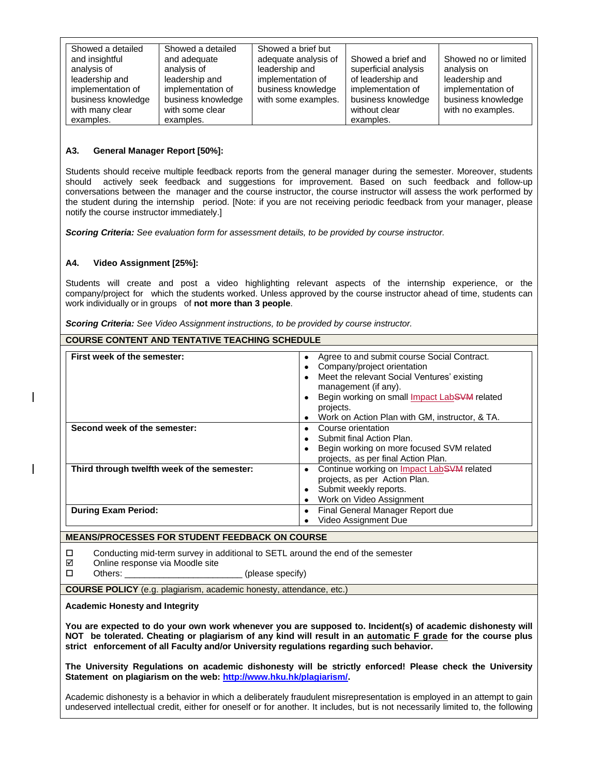| Showed a detailed  | Showed a detailed  | Showed a brief but   |                      |                      |
|--------------------|--------------------|----------------------|----------------------|----------------------|
| and insightful     | and adequate       | adequate analysis of | Showed a brief and   | Showed no or limited |
| analysis of        | analysis of        | leadership and       | superficial analysis | analysis on          |
| leadership and     | leadership and     | implementation of    | of leadership and    | leadership and       |
| implementation of  | implementation of  | business knowledge   | implementation of    | implementation of    |
| business knowledge | business knowledge | with some examples.  | business knowledge   | business knowledge   |
| with many clear    | with some clear    |                      | without clear        | with no examples.    |
| examples.          | examples.          |                      | examples.            |                      |

### **A3. General Manager Report [50%]:**

Students should receive multiple feedback reports from the general manager during the semester. Moreover, students should actively seek feedback and suggestions for improvement. Based on such feedback and follow-up conversations between the manager and the course instructor, the course instructor will assess the work performed by the student during the internship period. [Note: if you are not receiving periodic feedback from your manager, please notify the course instructor immediately.]

*Scoring Criteria: See evaluation form for assessment details, to be provided by course instructor.*

## **A4. Video Assignment [25%]:**

Students will create and post a video highlighting relevant aspects of the internship experience, or the company/project for which the students worked. Unless approved by the course instructor ahead of time, students can work individually or in groups of **not more than 3 people**.

*Scoring Criteria: See Video Assignment instructions, to be provided by course instructor.*

| <b>COURSE CONTENT AND TENTATIVE TEACHING SCHEDULE</b> |                                                                                                                                                                                                                                                                                                                |  |  |
|-------------------------------------------------------|----------------------------------------------------------------------------------------------------------------------------------------------------------------------------------------------------------------------------------------------------------------------------------------------------------------|--|--|
| First week of the semester:                           | Agree to and submit course Social Contract.<br>$\bullet$<br>Company/project orientation<br>Meet the relevant Social Ventures' existing<br>$\bullet$<br>management (if any).<br>Begin working on small <i>Impact LabSVM</i> related<br>projects.<br>Work on Action Plan with GM, instructor, & TA.<br>$\bullet$ |  |  |
| Second week of the semester:                          | Course orientation<br>$\bullet$<br>Submit final Action Plan.<br>Begin working on more focused SVM related<br>projects, as per final Action Plan.                                                                                                                                                               |  |  |
| Third through twelfth week of the semester:           | Continue working on <b>Impact LabSVM</b> related<br>$\bullet$<br>projects, as per Action Plan.<br>Submit weekly reports.<br>$\bullet$<br>Work on Video Assignment<br>$\bullet$                                                                                                                                 |  |  |
| <b>During Exam Period:</b>                            | Final General Manager Report due<br>$\bullet$<br>Video Assignment Due                                                                                                                                                                                                                                          |  |  |
| <b>MEANS/PROCESSES FOR STUDENT FEEDBACK ON COURSE</b> |                                                                                                                                                                                                                                                                                                                |  |  |

 $\Box$  Conducting mid-term survey in additional to SETL around the end of the semester

 $\boxtimes$  Online response via Moodle site

□ Others: \_\_\_\_\_\_\_\_\_\_\_\_\_\_\_\_\_\_\_\_\_\_\_\_\_\_\_\_\_\_\_\_ (please specify)

**COURSE POLICY** (e.g. plagiarism, academic honesty, attendance, etc.)

**Academic Honesty and Integrity**

**You are expected to do your own work whenever you are supposed to. Incident(s) of academic dishonesty will NOT be tolerated. Cheating or plagiarism of any kind will result in an automatic F grade for the course plus strict enforcement of all Faculty and/or University regulations regarding such behavior.**

**The University Regulations on academic dishonesty will be strictly enforced! Please check the University Statement on plagiarism on the web: [http://www.hku.hk/plagiarism/.](http://www.hku.hk/plagiarism/)**

Academic dishonesty is a behavior in which a deliberately fraudulent misrepresentation is employed in an attempt to gain undeserved intellectual credit, either for oneself or for another. It includes, but is not necessarily limited to, the following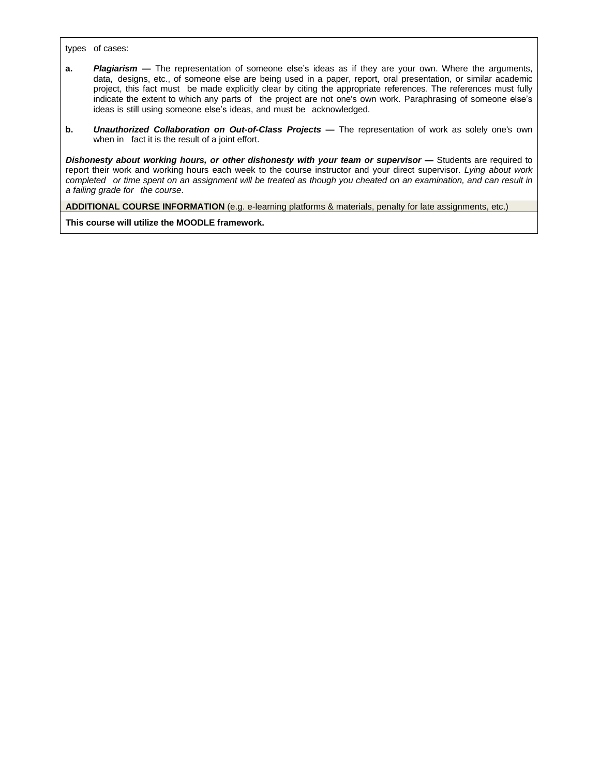types of cases:

- **a.** *Plagiarism* **—** The representation of someone else's ideas as if they are your own. Where the arguments, data, designs, etc., of someone else are being used in a paper, report, oral presentation, or similar academic project, this fact must be made explicitly clear by citing the appropriate references. The references must fully indicate the extent to which any parts of the project are not one's own work. Paraphrasing of someone else's ideas is still using someone else's ideas, and must be acknowledged.
- **b.** *Unauthorized Collaboration on Out-of-Class Projects* **—** The representation of work as solely one's own when in fact it is the result of a joint effort.

*Dishonesty about working hours, or other dishonesty with your team or supervisor* **—** Students are required to report their work and working hours each week to the course instructor and your direct supervisor. *Lying about work*  completed or time spent on an assignment will be treated as though you cheated on an examination, and can result in *a failing grade for the course*.

**ADDITIONAL COURSE INFORMATION** (e.g. e-learning platforms & materials, penalty for late assignments, etc.)

**This course will utilize the MOODLE framework.**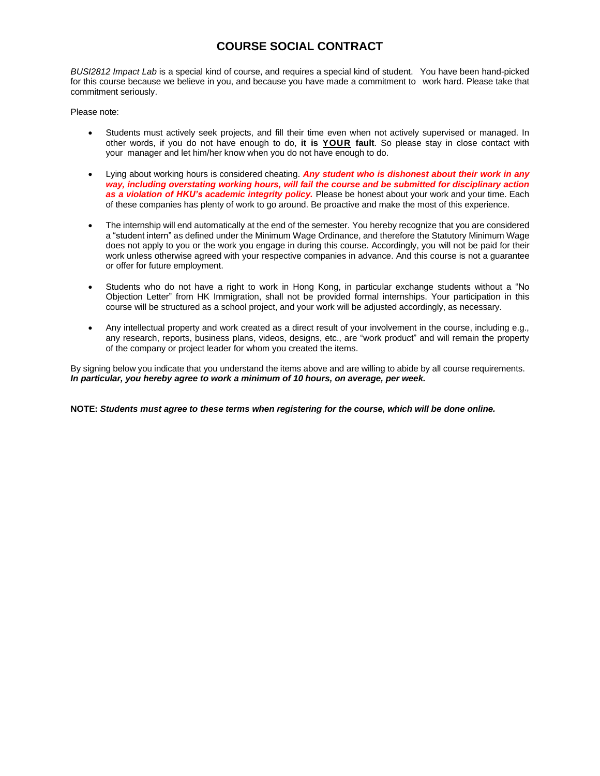# **COURSE SOCIAL CONTRACT**

*BUSI2812 Impact Lab* is a special kind of course, and requires a special kind of student. You have been hand-picked for this course because we believe in you, and because you have made a commitment to work hard. Please take that commitment seriously.

Please note:

- Students must actively seek projects, and fill their time even when not actively supervised or managed. In other words, if you do not have enough to do, **it is YOUR fault**. So please stay in close contact with your manager and let him/her know when you do not have enough to do.
- Lying about working hours is considered cheating. *Any student who is dishonest about their work in any way, including overstating working hours, will fail the course and be submitted for disciplinary action as a violation of HKU's academic integrity policy.* Please be honest about your work and your time. Each of these companies has plenty of work to go around. Be proactive and make the most of this experience.
- The internship will end automatically at the end of the semester. You hereby recognize that you are considered a "student intern" as defined under the Minimum Wage Ordinance, and therefore the Statutory Minimum Wage does not apply to you or the work you engage in during this course. Accordingly, you will not be paid for their work unless otherwise agreed with your respective companies in advance. And this course is not a guarantee or offer for future employment.
- Students who do not have a right to work in Hong Kong, in particular exchange students without a "No Objection Letter" from HK Immigration, shall not be provided formal internships. Your participation in this course will be structured as a school project, and your work will be adjusted accordingly, as necessary.
- Any intellectual property and work created as a direct result of your involvement in the course, including e.g., any research, reports, business plans, videos, designs, etc., are "work product" and will remain the property of the company or project leader for whom you created the items.

By signing below you indicate that you understand the items above and are willing to abide by all course requirements. *In particular, you hereby agree to work a minimum of 10 hours, on average, per week.*

**NOTE:** *Students must agree to these terms when registering for the course, which will be done online.*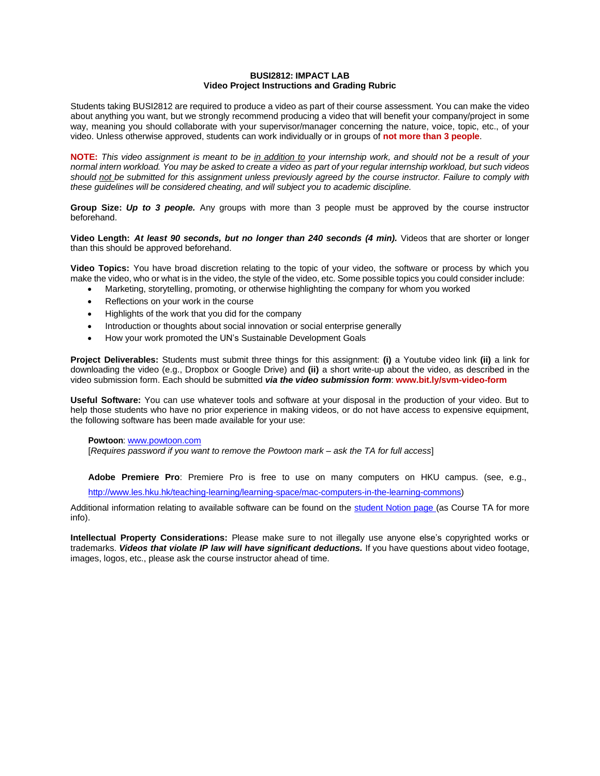#### **BUSI2812: IMPACT LAB Video Project Instructions and Grading Rubric**

Students taking BUSI2812 are required to produce a video as part of their course assessment. You can make the video about anything you want, but we strongly recommend producing a video that will benefit your company/project in some way, meaning you should collaborate with your supervisor/manager concerning the nature, voice, topic, etc., of your video. Unless otherwise approved, students can work individually or in groups of **not more than 3 people**.

NOTE: This video assignment is meant to be in addition to your internship work, and should not be a result of your normal intern workload. You may be asked to create a video as part of your regular internship workload, but such videos should not be submitted for this assignment unless previously agreed by the course instructor. Failure to comply with *these guidelines will be considered cheating, and will subject you to academic discipline.*

**Group Size:** *Up to 3 people.* Any groups with more than 3 people must be approved by the course instructor beforehand.

**Video Length:** *At least 90 seconds, but no longer than 240 seconds (4 min).* Videos that are shorter or longer than this should be approved beforehand.

**Video Topics:** You have broad discretion relating to the topic of your video, the software or process by which you make the video, who or what is in the video, the style of the video, etc. Some possible topics you could consider include:

- Marketing, storytelling, promoting, or otherwise highlighting the company for whom you worked
- Reflections on your work in the course
- Highlights of the work that you did for the company
- Introduction or thoughts about social innovation or social enterprise generally
- How your work promoted the UN's Sustainable Development Goals

**Project Deliverables:** Students must submit three things for this assignment: **(i)** a Youtube video link **(ii)** a link for downloading the video (e.g., Dropbox or Google Drive) and **(ii)** a short write-up about the video, as described in the video submission form. Each should be submitted *via the video submission form*: **[www.bit.ly/svm-video-form](http://www.bit.ly/svm-video-form)**

**Useful Software:** You can use whatever tools and software at your disposal in the production of your video. But to help those students who have no prior experience in making videos, or do not have access to expensive equipment, the following software has been made available for your use:

#### **Powtoon**: [www.powtoon.com](http://www.powtoon.com/)

[*Requires password if you want to remove the Powtoon mark – ask the TA for full access*]

**Adobe Premiere Pro**: Premiere Pro is free to use on many computers on HKU campus. (see, e.g.,

[http://www.les.hku.hk/teaching-learning/learning-space/mac-computers-in-the-learning-commons\)](http://www.les.hku.hk/teaching-learning/learning-space/mac-computers-in-the-learning-commons)

Additional information relating to available software can be found on the [student](http://www.bit.ly/svm-manual) Notion page (as Course TA for more info).

**Intellectual Property Considerations:** Please make sure to not illegally use anyone else's copyrighted works or trademarks. *Videos that violate IP law will have significant deductions.* If you have questions about video footage, images, logos, etc., please ask the course instructor ahead of time.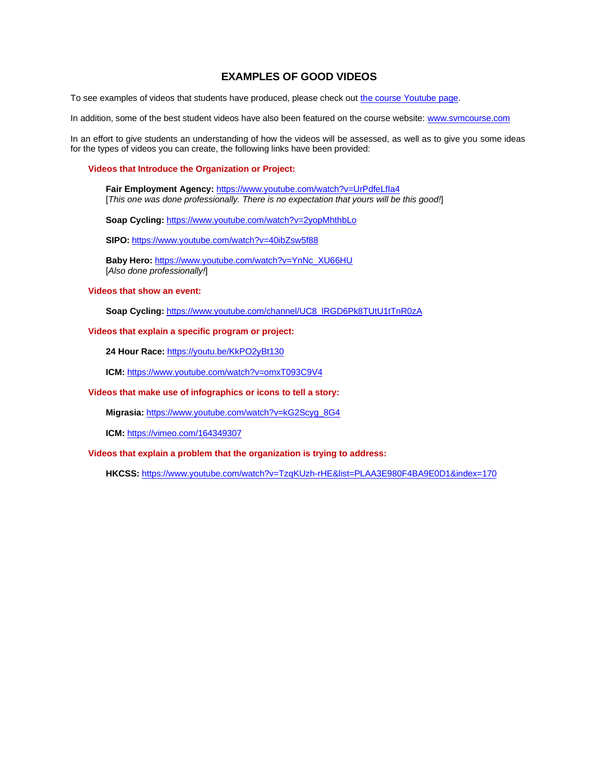# **EXAMPLES OF GOOD VIDEOS**

To see examples of videos that students have produced, please check out the course [Youtube](https://www.youtube.com/channel/UCOMO_tCDMgPb9MXBeJKlYpA/videos) page.

In addition, some of the best student videos have also been featured on the course website: [www.svmcourse.com](http://www.svmcourse.com/)

In an effort to give students an understanding of how the videos will be assessed, as well as to give you some ideas for the types of videos you can create, the following links have been provided:

#### **Videos that Introduce the Organization or Project:**

**Fair Employment Agency:** <https://www.youtube.com/watch?v=UrPdfeLfIa4> [*This one was done professionally. There is no expectation that yours will be this good!*]

**Soap Cycling:** <https://www.youtube.com/watch?v=2yopMhthbLo>

**SIPO:** <https://www.youtube.com/watch?v=40ibZsw5f88>

**Baby Hero:** [https://www.youtube.com/watch?v=YnNc\\_XU66HU](https://www.youtube.com/watch?v=YnNc_XU66HU) [*Also done professionally!*]

### **Videos that show an event:**

**Soap Cycling:** [https://www.youtube.com/channel/UC8\\_lRGD6Pk8TUtU1tTnR0zA](https://www.youtube.com/channel/UC8_lRGD6Pk8TUtU1tTnR0zA)

#### **Videos that explain a specific program or project:**

**24 Hour Race:** <https://youtu.be/KkPO2yBt130>

**ICM:** <https://www.youtube.com/watch?v=omxT093C9V4>

#### **Videos that make use of infographics or icons to tell a story:**

**Migrasia:** [https://www.youtube.com/watch?v=kG2Scyg\\_8G4](https://www.youtube.com/watch?v=kG2Scyg_8G4)

**ICM:** <https://vimeo.com/164349307>

### **Videos that explain a problem that the organization is trying to address:**

**HKCSS:** <https://www.youtube.com/watch?v=TzqKUzh-rHE&list=PLAA3E980F4BA9E0D1&index=170>